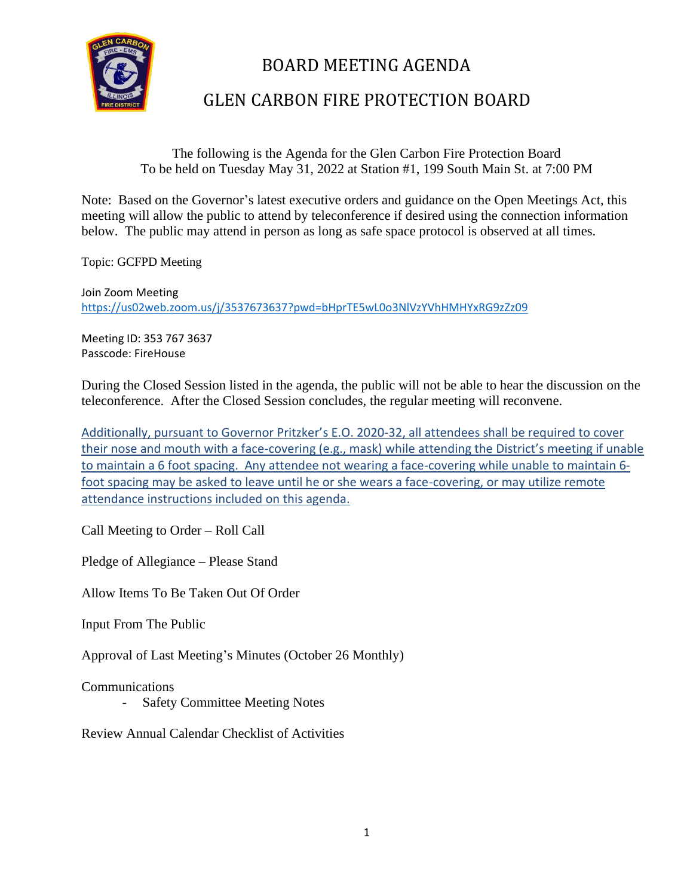

# BOARD MEETING AGENDA

## GLEN CARBON FIRE PROTECTION BOARD

### The following is the Agenda for the Glen Carbon Fire Protection Board To be held on Tuesday May 31, 2022 at Station #1, 199 South Main St. at 7:00 PM

Note: Based on the Governor's latest executive orders and guidance on the Open Meetings Act, this meeting will allow the public to attend by teleconference if desired using the connection information below. The public may attend in person as long as safe space protocol is observed at all times.

Topic: GCFPD Meeting

Join Zoom Meeting <https://us02web.zoom.us/j/3537673637?pwd=bHprTE5wL0o3NlVzYVhHMHYxRG9zZz09>

Meeting ID: 353 767 3637 Passcode: FireHouse

During the Closed Session listed in the agenda, the public will not be able to hear the discussion on the teleconference. After the Closed Session concludes, the regular meeting will reconvene.

Additionally, pursuant to Governor Pritzker's E.O. 2020-32, all attendees shall be required to cover their nose and mouth with a face-covering (e.g., mask) while attending the District's meeting if unable to maintain a 6 foot spacing. Any attendee not wearing a face-covering while unable to maintain 6 foot spacing may be asked to leave until he or she wears a face-covering, or may utilize remote attendance instructions included on this agenda.

Call Meeting to Order – Roll Call

Pledge of Allegiance – Please Stand

Allow Items To Be Taken Out Of Order

Input From The Public

Approval of Last Meeting's Minutes (October 26 Monthly)

Communications

- Safety Committee Meeting Notes

Review Annual Calendar Checklist of Activities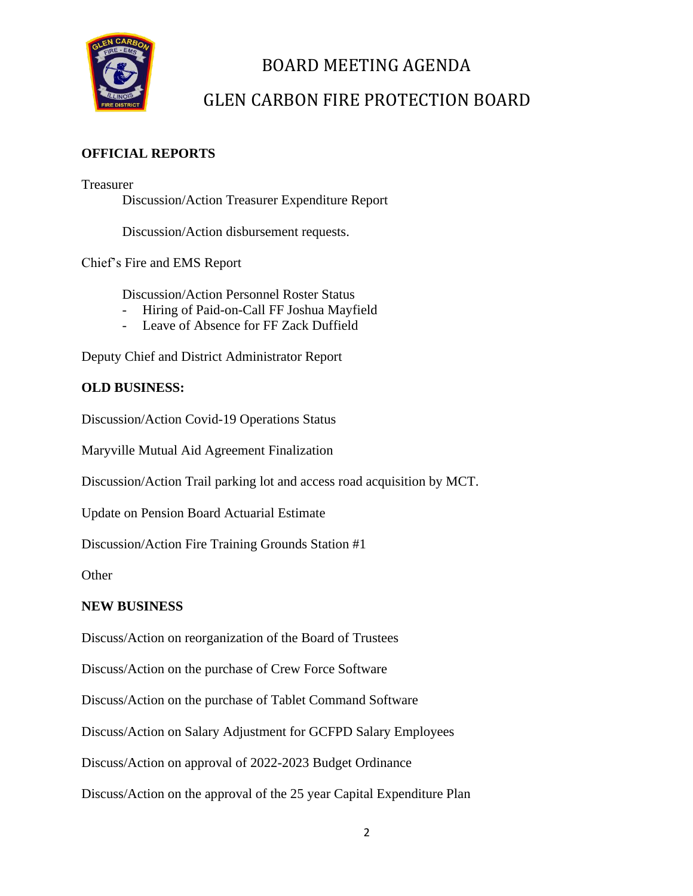

# BOARD MEETING AGENDA

## GLEN CARBON FIRE PROTECTION BOARD

### **OFFICIAL REPORTS**

Treasurer Discussion/Action Treasurer Expenditure Report

Discussion/Action disbursement requests.

Chief's Fire and EMS Report

Discussion/Action Personnel Roster Status

- Hiring of Paid-on-Call FF Joshua Mayfield
- Leave of Absence for FF Zack Duffield

Deputy Chief and District Administrator Report

### **OLD BUSINESS:**

Discussion/Action Covid-19 Operations Status

Maryville Mutual Aid Agreement Finalization

Discussion/Action Trail parking lot and access road acquisition by MCT.

Update on Pension Board Actuarial Estimate

Discussion/Action Fire Training Grounds Station #1

**Other** 

#### **NEW BUSINESS**

Discuss/Action on reorganization of the Board of Trustees

Discuss/Action on the purchase of Crew Force Software

Discuss/Action on the purchase of Tablet Command Software

Discuss/Action on Salary Adjustment for GCFPD Salary Employees

Discuss/Action on approval of 2022-2023 Budget Ordinance

Discuss/Action on the approval of the 25 year Capital Expenditure Plan